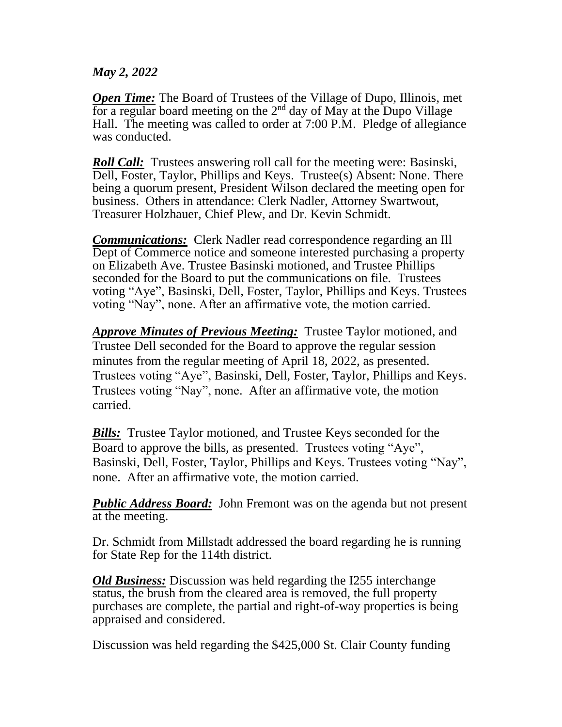## *May 2, 2022*

**Open Time:** The Board of Trustees of the Village of Dupo, Illinois, met for a regular board meeting on the  $2<sup>nd</sup>$  day of May at the Dupo Village Hall. The meeting was called to order at 7:00 P.M. Pledge of allegiance was conducted.

*Roll Call:* Trustees answering roll call for the meeting were: Basinski, Dell, Foster, Taylor, Phillips and Keys. Trustee(s) Absent: None. There being a quorum present, President Wilson declared the meeting open for business. Others in attendance: Clerk Nadler, Attorney Swartwout, Treasurer Holzhauer, Chief Plew, and Dr. Kevin Schmidt.

*Communications:* Clerk Nadler read correspondence regarding an Ill Dept of Commerce notice and someone interested purchasing a property on Elizabeth Ave. Trustee Basinski motioned, and Trustee Phillips seconded for the Board to put the communications on file. Trustees voting "Aye", Basinski, Dell, Foster, Taylor, Phillips and Keys. Trustees voting "Nay", none. After an affirmative vote, the motion carried.

*Approve Minutes of Previous Meeting:* Trustee Taylor motioned, and Trustee Dell seconded for the Board to approve the regular session minutes from the regular meeting of April 18, 2022, as presented. Trustees voting "Aye", Basinski, Dell, Foster, Taylor, Phillips and Keys. Trustees voting "Nay", none. After an affirmative vote, the motion carried.

*Bills:* Trustee Taylor motioned, and Trustee Keys seconded for the Board to approve the bills, as presented. Trustees voting "Aye", Basinski, Dell, Foster, Taylor, Phillips and Keys. Trustees voting "Nay", none. After an affirmative vote, the motion carried.

*Public Address Board:* John Fremont was on the agenda but not present at the meeting.

Dr. Schmidt from Millstadt addressed the board regarding he is running for State Rep for the 114th district.

*Old Business:* Discussion was held regarding the I255 interchange status, the brush from the cleared area is removed, the full property purchases are complete, the partial and right-of-way properties is being appraised and considered.

Discussion was held regarding the \$425,000 St. Clair County funding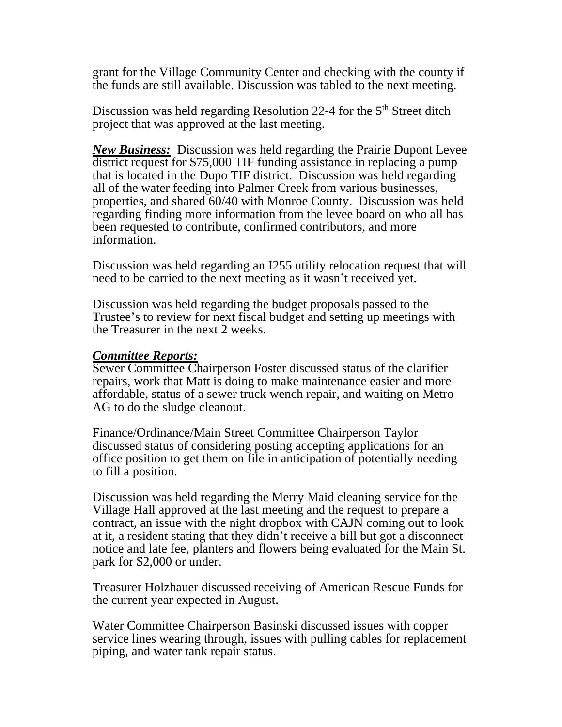grant for the Village Community Center and checking with the county if the funds are still available. Discussion was tabled to the next meeting.

Discussion was held regarding Resolution 22-4 for the 5<sup>th</sup> Street ditch project that was approved at the last meeting.

*New Business:* Discussion was held regarding the Prairie Dupont Levee district request for \$75,000 TIF funding assistance in replacing a pump that is located in the Dupo TIF district. Discussion was held regarding all of the water feeding into Palmer Creek from various businesses, properties, and shared 60/40 with Monroe County. Discussion was held regarding finding more information from the levee board on who all has been requested to contribute, confirmed contributors, and more information.

Discussion was held regarding an I255 utility relocation request that will need to be carried to the next meeting as it wasn't received yet.

Discussion was held regarding the budget proposals passed to the Trustee's to review for next fiscal budget and setting up meetings with the Treasurer in the next 2 weeks.

## *Committee Reports:*

Sewer Committee Chairperson Foster discussed status of the clarifier repairs, work that Matt is doing to make maintenance easier and more affordable, status of a sewer truck wench repair, and waiting on Metro AG to do the sludge cleanout.

Finance/Ordinance/Main Street Committee Chairperson Taylor discussed status of considering posting accepting applications for an office position to get them on file in anticipation of potentially needing to fill a position.

Discussion was held regarding the Merry Maid cleaning service for the Village Hall approved at the last meeting and the request to prepare a contract, an issue with the night dropbox with CAJN coming out to look at it, a resident stating that they didn't receive a bill but got a disconnect notice and late fee, planters and flowers being evaluated for the Main St. park for \$2,000 or under.

Treasurer Holzhauer discussed receiving of American Rescue Funds for the current year expected in August.

Water Committee Chairperson Basinski discussed issues with copper service lines wearing through, issues with pulling cables for replacement piping, and water tank repair status.